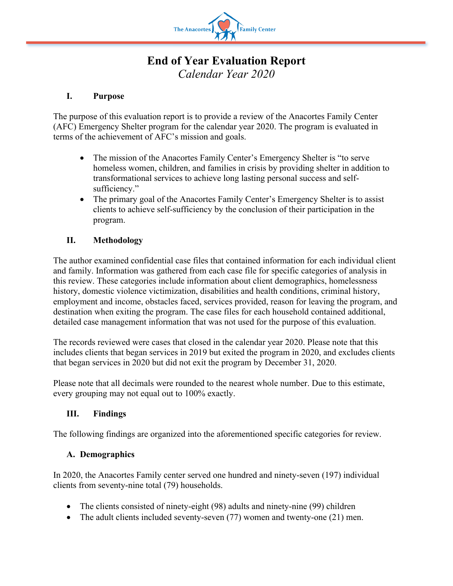

# **End of Year Evaluation Report** *Calendar Year 2020*

### **I. Purpose**

The purpose of this evaluation report is to provide a review of the Anacortes Family Center (AFC) Emergency Shelter program for the calendar year 2020. The program is evaluated in terms of the achievement of AFC's mission and goals.

- The mission of the Anacortes Family Center's Emergency Shelter is "to serve homeless women, children, and families in crisis by providing shelter in addition to transformational services to achieve long lasting personal success and selfsufficiency."
- The primary goal of the Anacortes Family Center's Emergency Shelter is to assist clients to achieve self-sufficiency by the conclusion of their participation in the program.

## **II. Methodology**

The author examined confidential case files that contained information for each individual client and family. Information was gathered from each case file for specific categories of analysis in this review. These categories include information about client demographics, homelessness history, domestic violence victimization, disabilities and health conditions, criminal history, employment and income, obstacles faced, services provided, reason for leaving the program, and destination when exiting the program. The case files for each household contained additional, detailed case management information that was not used for the purpose of this evaluation.

The records reviewed were cases that closed in the calendar year 2020. Please note that this includes clients that began services in 2019 but exited the program in 2020, and excludes clients that began services in 2020 but did not exit the program by December 31, 2020.

Please note that all decimals were rounded to the nearest whole number. Due to this estimate, every grouping may not equal out to 100% exactly.

#### **III. Findings**

The following findings are organized into the aforementioned specific categories for review.

#### **A. Demographics**

In 2020, the Anacortes Family center served one hundred and ninety-seven (197) individual clients from seventy-nine total (79) households.

- The clients consisted of ninety-eight (98) adults and ninety-nine (99) children
- The adult clients included seventy-seven (77) women and twenty-one (21) men.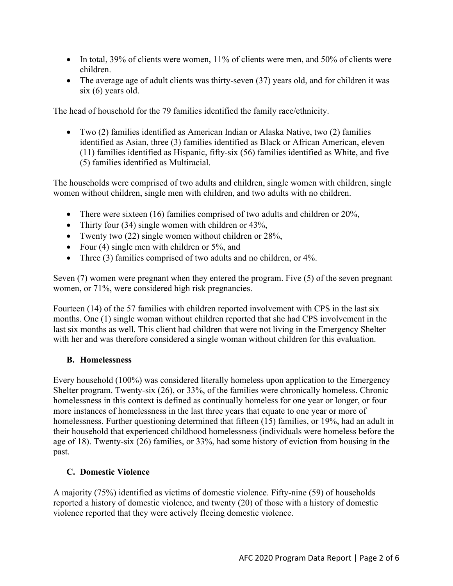- In total, 39% of clients were women, 11% of clients were men, and 50% of clients were children.
- The average age of adult clients was thirty-seven (37) years old, and for children it was six (6) years old.

The head of household for the 79 families identified the family race/ethnicity.

• Two (2) families identified as American Indian or Alaska Native, two (2) families identified as Asian, three (3) families identified as Black or African American, eleven (11) families identified as Hispanic, fifty-six (56) families identified as White, and five (5) families identified as Multiracial.

The households were comprised of two adults and children, single women with children, single women without children, single men with children, and two adults with no children.

- There were sixteen (16) families comprised of two adults and children or 20%,
- Thirty four (34) single women with children or 43%,
- Twenty two (22) single women without children or 28%,
- Four (4) single men with children or 5%, and
- Three (3) families comprised of two adults and no children, or 4%.

Seven (7) women were pregnant when they entered the program. Five (5) of the seven pregnant women, or 71%, were considered high risk pregnancies.

Fourteen (14) of the 57 families with children reported involvement with CPS in the last six months. One (1) single woman without children reported that she had CPS involvement in the last six months as well. This client had children that were not living in the Emergency Shelter with her and was therefore considered a single woman without children for this evaluation.

#### **B. Homelessness**

Every household (100%) was considered literally homeless upon application to the Emergency Shelter program. Twenty-six (26), or 33%, of the families were chronically homeless. Chronic homelessness in this context is defined as continually homeless for one year or longer, or four more instances of homelessness in the last three years that equate to one year or more of homelessness. Further questioning determined that fifteen (15) families, or 19%, had an adult in their household that experienced childhood homelessness (individuals were homeless before the age of 18). Twenty-six (26) families, or 33%, had some history of eviction from housing in the past.

#### **C. Domestic Violence**

A majority (75%) identified as victims of domestic violence. Fifty-nine (59) of households reported a history of domestic violence, and twenty (20) of those with a history of domestic violence reported that they were actively fleeing domestic violence.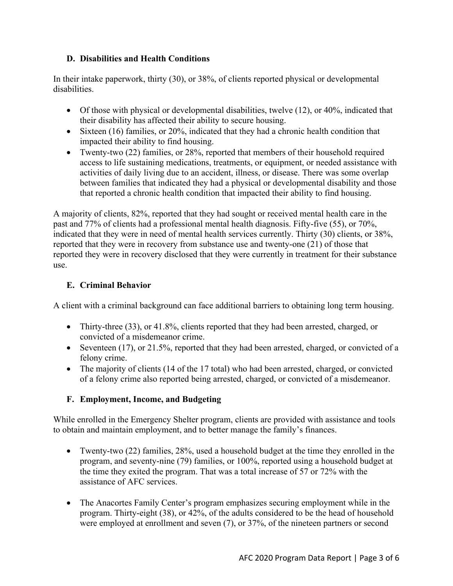## **D. Disabilities and Health Conditions**

In their intake paperwork, thirty (30), or 38%, of clients reported physical or developmental disabilities.

- Of those with physical or developmental disabilities, twelve (12), or 40%, indicated that their disability has affected their ability to secure housing.
- Sixteen (16) families, or 20%, indicated that they had a chronic health condition that impacted their ability to find housing.
- Twenty-two (22) families, or 28%, reported that members of their household required access to life sustaining medications, treatments, or equipment, or needed assistance with activities of daily living due to an accident, illness, or disease. There was some overlap between families that indicated they had a physical or developmental disability and those that reported a chronic health condition that impacted their ability to find housing.

A majority of clients, 82%, reported that they had sought or received mental health care in the past and 77% of clients had a professional mental health diagnosis. Fifty-five (55), or 70%, indicated that they were in need of mental health services currently. Thirty (30) clients, or 38%, reported that they were in recovery from substance use and twenty-one (21) of those that reported they were in recovery disclosed that they were currently in treatment for their substance use.

## **E. Criminal Behavior**

A client with a criminal background can face additional barriers to obtaining long term housing.

- Thirty-three (33), or 41.8%, clients reported that they had been arrested, charged, or convicted of a misdemeanor crime.
- Seventeen (17), or 21.5%, reported that they had been arrested, charged, or convicted of a felony crime.
- The majority of clients (14 of the 17 total) who had been arrested, charged, or convicted of a felony crime also reported being arrested, charged, or convicted of a misdemeanor.

# **F. Employment, Income, and Budgeting**

While enrolled in the Emergency Shelter program, clients are provided with assistance and tools to obtain and maintain employment, and to better manage the family's finances.

- Twenty-two (22) families, 28%, used a household budget at the time they enrolled in the program, and seventy-nine (79) families, or 100%, reported using a household budget at the time they exited the program. That was a total increase of 57 or 72% with the assistance of AFC services.
- The Anacortes Family Center's program emphasizes securing employment while in the program. Thirty-eight (38), or 42%, of the adults considered to be the head of household were employed at enrollment and seven (7), or 37%, of the nineteen partners or second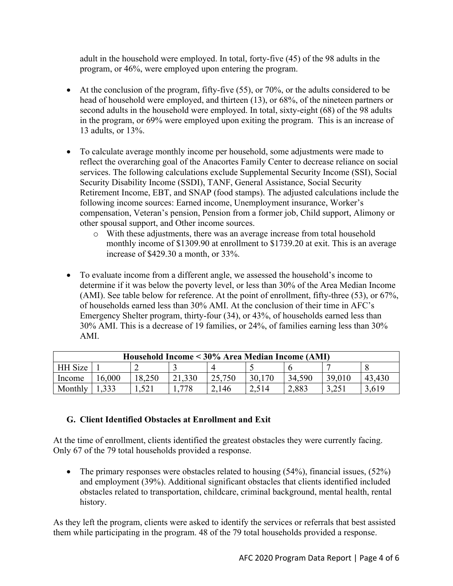adult in the household were employed. In total, forty-five (45) of the 98 adults in the program, or 46%, were employed upon entering the program.

- At the conclusion of the program, fifty-five  $(55)$ , or  $70\%$ , or the adults considered to be head of household were employed, and thirteen (13), or 68%, of the nineteen partners or second adults in the household were employed. In total, sixty-eight (68) of the 98 adults in the program, or 69% were employed upon exiting the program. This is an increase of 13 adults, or 13%.
- To calculate average monthly income per household, some adjustments were made to reflect the overarching goal of the Anacortes Family Center to decrease reliance on social services. The following calculations exclude Supplemental Security Income (SSI), Social Security Disability Income (SSDI), TANF, General Assistance, Social Security Retirement Income, EBT, and SNAP (food stamps). The adjusted calculations include the following income sources: Earned income, Unemployment insurance, Worker's compensation, Veteran's pension, Pension from a former job, Child support, Alimony or other spousal support, and Other income sources.
	- o With these adjustments, there was an average increase from total household monthly income of \$1309.90 at enrollment to \$1739.20 at exit. This is an average increase of \$429.30 a month, or 33%.
- To evaluate income from a different angle, we assessed the household's income to determine if it was below the poverty level, or less than 30% of the Area Median Income (AMI). See table below for reference. At the point of enrollment, fifty-three (53), or 67%, of households earned less than 30% AMI. At the conclusion of their time in AFC's Emergency Shelter program, thirty-four (34), or 43%, of households earned less than 30% AMI. This is a decrease of 19 families, or 24%, of families earning less than 30% AMI.

| Household Income < 30% Area Median Income (AMI) |       |        |        |        |        |        |        |        |
|-------------------------------------------------|-------|--------|--------|--------|--------|--------|--------|--------|
| HH Size                                         |       |        |        |        |        |        |        |        |
| Income                                          | 6,000 | 18,250 | 21,330 | 25,750 | 30,170 | 34,590 | 39,010 | 43,430 |
| Monthly                                         | 1,333 | .521   | 778    | 2,146  | 2,514  | 2,883  |        | 3,619  |

# **G. Client Identified Obstacles at Enrollment and Exit**

At the time of enrollment, clients identified the greatest obstacles they were currently facing. Only 67 of the 79 total households provided a response.

• The primary responses were obstacles related to housing (54%), financial issues, (52%) and employment (39%). Additional significant obstacles that clients identified included obstacles related to transportation, childcare, criminal background, mental health, rental history.

As they left the program, clients were asked to identify the services or referrals that best assisted them while participating in the program. 48 of the 79 total households provided a response.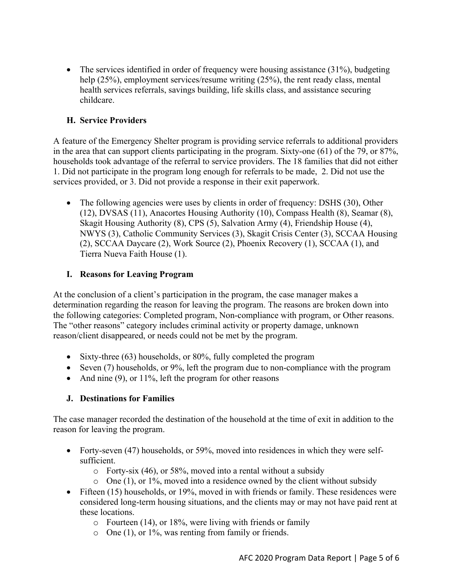• The services identified in order of frequency were housing assistance  $(31\%)$ , budgeting help (25%), employment services/resume writing (25%), the rent ready class, mental health services referrals, savings building, life skills class, and assistance securing childcare.

## **H. Service Providers**

A feature of the Emergency Shelter program is providing service referrals to additional providers in the area that can support clients participating in the program. Sixty-one (61) of the 79, or 87%, households took advantage of the referral to service providers. The 18 families that did not either 1. Did not participate in the program long enough for referrals to be made, 2. Did not use the services provided, or 3. Did not provide a response in their exit paperwork.

• The following agencies were uses by clients in order of frequency: DSHS (30), Other (12), DVSAS (11), Anacortes Housing Authority (10), Compass Health (8), Seamar (8), Skagit Housing Authority (8), CPS (5), Salvation Army (4), Friendship House (4), NWYS (3), Catholic Community Services (3), Skagit Crisis Center (3), SCCAA Housing (2), SCCAA Daycare (2), Work Source (2), Phoenix Recovery (1), SCCAA (1), and Tierra Nueva Faith House (1).

#### **I. Reasons for Leaving Program**

At the conclusion of a client's participation in the program, the case manager makes a determination regarding the reason for leaving the program. The reasons are broken down into the following categories: Completed program, Non-compliance with program, or Other reasons. The "other reasons" category includes criminal activity or property damage, unknown reason/client disappeared, or needs could not be met by the program.

- Sixty-three (63) households, or 80%, fully completed the program
- Seven (7) households, or 9%, left the program due to non-compliance with the program
- And nine  $(9)$ , or 11%, left the program for other reasons

# **J. Destinations for Families**

The case manager recorded the destination of the household at the time of exit in addition to the reason for leaving the program.

- Forty-seven (47) households, or 59%, moved into residences in which they were selfsufficient.
	- $\circ$  Forty-six (46), or 58%, moved into a rental without a subsidy
	- $\circ$  One (1), or 1%, moved into a residence owned by the client without subsidy
- Fifteen (15) households, or 19%, moved in with friends or family. These residences were considered long-term housing situations, and the clients may or may not have paid rent at these locations.
	- $\circ$  Fourteen (14), or 18%, were living with friends or family
	- o One (1), or 1%, was renting from family or friends.